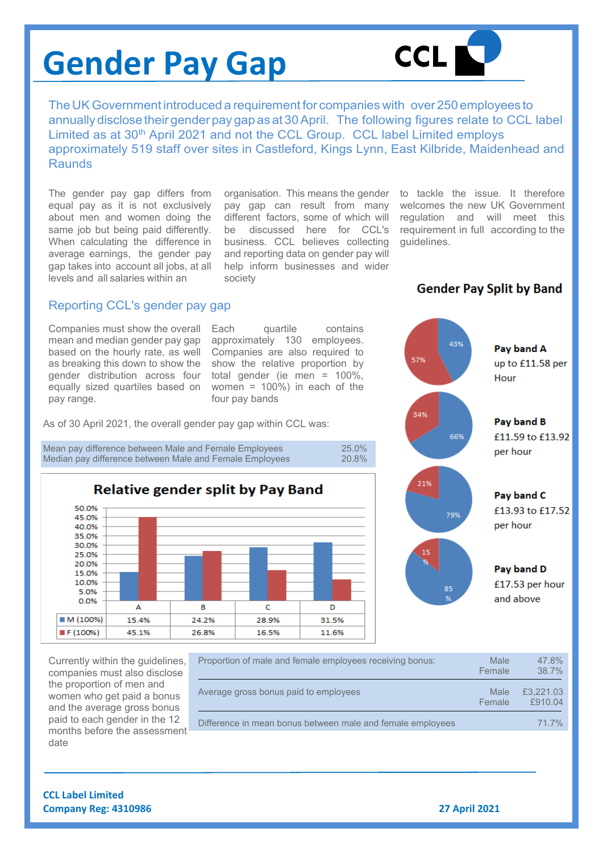# **Gender Pay Gap**



The UK Government introduced a requirement for companies with over 250 employees to annually disclose their gender pay gap as at 30 April. The following figures relate to CCL label Limited as at 30<sup>th</sup> April 2021 and not the CCL Group. CCL label Limited employs approximately 519 staff over sites in Castleford, Kings Lynn, East Kilbride, Maidenhead and **Raunds** 

The gender pay gap differs from equal pay as it is not exclusively about men and women doing the same job but being paid differently. When calculating the difference in average earnings, the gender pay gap takes into account all jobs, at all levels and all salaries within an

organisation. This means the gender to tackle the issue. It therefore pay gap can result from many different factors, some of which will be discussed here for CCL's business. CCL believes collecting and reporting data on gender pay will help inform businesses and wider society

welcomes the new UK Government regulation and will meet this requirement in full according to the guidelines.

**Gender Pay Split by Band** 

## Reporting CCL's gender pay gap

Companies must show the overall mean and median gender pay gap based on the hourly rate, as well as breaking this down to show the gender distribution across four equally sized quartiles based on pay range.

Each quartile contains approximately 130 employees. Companies are also required to show the relative proportion by total gender (ie men = 100%, women = 100%) in each of the four pay bands

As of 30 April 2021, the overall gender pay gap within CCL was:

Mean pay difference between Male and Female Employees 25.0%<br>Median pay difference between Male and Female Employees 20.8% Median pay difference between Male and Female Employees







85

Pav band C £13.93 to £17.52 per hour

Pay band D £17.53 per hour and above

Currently within the guidelines, companies must also disclose the proportion of men and women who get paid a bonus and the average gross bonus paid to each gender in the 12 months before the assessment date

| Proportion of male and female employees receiving bonus:   | Male<br>Female | 47.8%<br>38.7%       |
|------------------------------------------------------------|----------------|----------------------|
| Average gross bonus paid to employees                      | Male<br>Female | £3,221.03<br>f910.04 |
| Difference in mean bonus between male and female employees |                | 71.7%                |

**CCL Label Limited Company Reg: 4310986 27 April 2021**